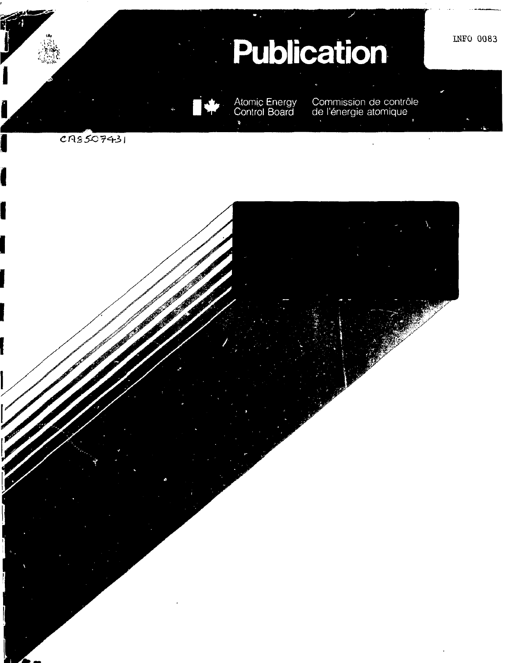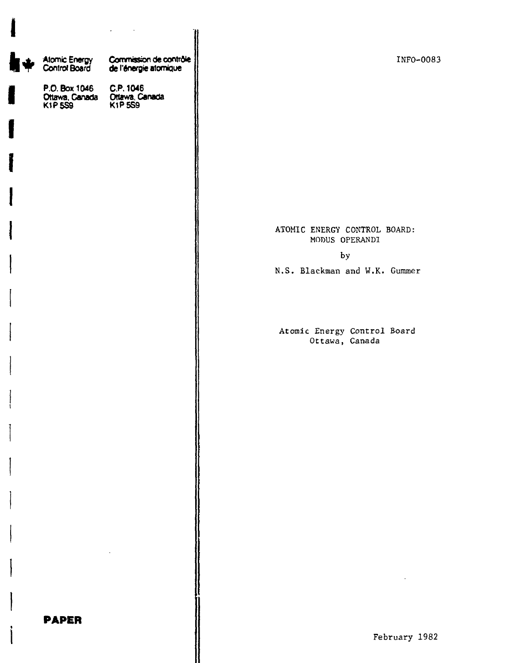|                                        | $\sim$ $\sim$<br>$\epsilon$                                                 |                                                |
|----------------------------------------|-----------------------------------------------------------------------------|------------------------------------------------|
| <b>Atomic Energy<br/>Control Board</b> | Commission de contrôle<br>de l'énergie atomique                             | INFO-0083                                      |
|                                        | P.O. Box 1046 C.P. 1046<br>Ottawa, Canada Ottawa, Canada<br>K1P 559 K1P 559 |                                                |
|                                        |                                                                             |                                                |
|                                        |                                                                             |                                                |
|                                        |                                                                             |                                                |
|                                        |                                                                             | ATOMIC ENERGY CONTROL BOARD:<br>MODUS OPERANDI |
|                                        |                                                                             | by                                             |
|                                        |                                                                             | N.S. Blackman and W.K. Gummer                  |
|                                        |                                                                             |                                                |
|                                        |                                                                             | Atomic Energy Control Board<br>Ottawa, Canada  |
|                                        |                                                                             |                                                |
|                                        |                                                                             |                                                |
|                                        |                                                                             |                                                |
|                                        |                                                                             |                                                |
|                                        |                                                                             |                                                |
|                                        |                                                                             |                                                |
|                                        |                                                                             |                                                |
| <b>PAPER</b>                           |                                                                             | February 1982                                  |

**I**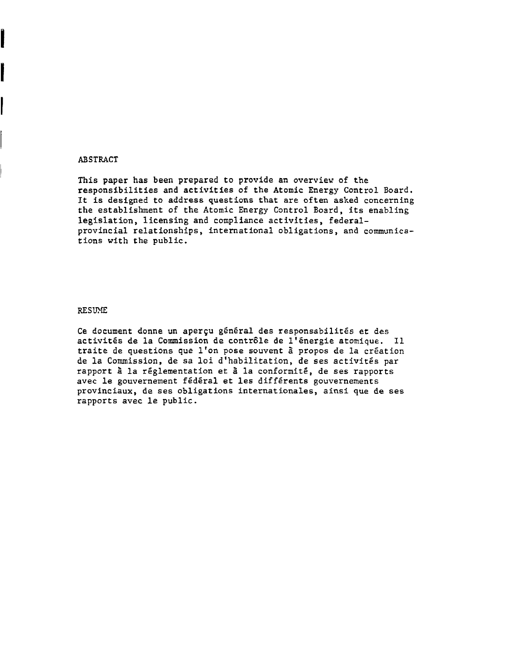### ABSTRACT

Ì

l

This paper has been prepared to provide an overview of the responsibilities and activities of the Atomic Energy Control Board. It is designed to address questions that are often asked concerning the establishment of the Atomic Energy Control Board, its enabling legislation, licensing and compliance activities, federalprovincial relationships, international obligations, and communications with the public.

#### RESUME

Ce document donne un aperçu général des responsabilités et des activités de la Commission de contrôle de l'énergie atomique. Il traite de questions que l'on pose souvent a propos de la creation de la Commission, de sa loi d'habilitation, de ses activites par rapport à la réglementation et à la conformité, de ses rapports avec le gouvernement fédéral et les différents gouvernements provinciaux, de ses obligations internationales, ainsi que de ses rapports avec le public.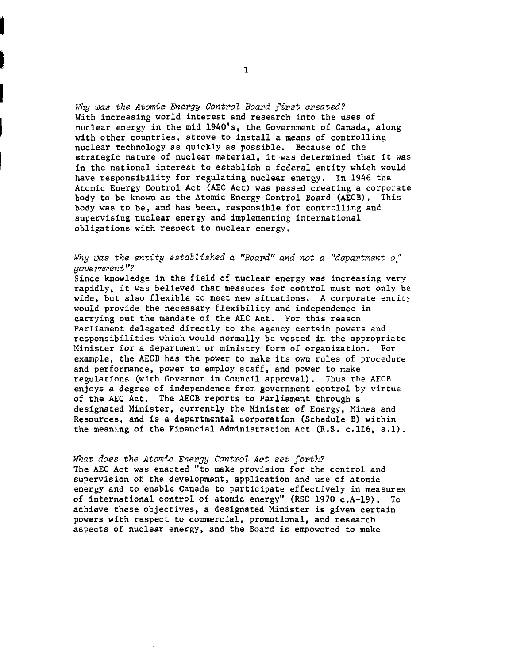Why was the Atomic Energy Control Board first created? With increasing world interest and research into the uses of nuclear energy in the mid 1940's, the Government of Canada, along with other countries, strove to install a means of controlling nuclear technology as quickly as possible. Because of the strategic nature of nuclear material, it was determined that it was in the national interest to establish a federal entity which would have responsibility for regulating nuclear energy. In 1946 the Atomic Energy Control Act (AEC Act) was passed creating a corporate body to be known as the Atomic Energy Control Board (AECB). This body was to be, and has been, responsible for controlling and supervising nuclear energy and implementing international obligations with respect to nuclear energy.

# Why was the entity established a "Board" and not a "department of government"?

Since knowledge in the field of nuclear energy was increasing very rapidly, it was believed that measures for control must not only be wide, but also flexible to meet new situations. A corporate entity would provide the necessary flexibility and independence in carrying out the mandate of the AEC Act. For this reason Parliament delegated directly to the agency certain powers and responsibilities which would normally be vested in the appropriate Minister for a department or ministry form of organization. For example, the AECB has the power to make its own rules of procedure and performance, power to employ staff, and power to make regulations (with Governor in Council approval). Thus the AECB enjoys a degree of independence from government control by virtue of the AEC Act. The AECB reports to Parliament through a designated Minister, currently the Minister of Energy, Mines and Resources, and is a departmental corporation (Schedule B) within the meaning of the Financial Administration Act (R.S. c.116, s.l).

## What does the Atomic Energy Control Act set forth?

The AEC Act was enacted "to make provision for the control and supervision of the development, application and use of atomic energy and to enable Canada to participate effectively in measures of international control of atomic energy" (RSC 1970 c.A-19). To achieve these objectives, a designated Minister is given certain powers with respect to commercial, promotional, and research aspects of nuclear energy, and the Board is empowered to make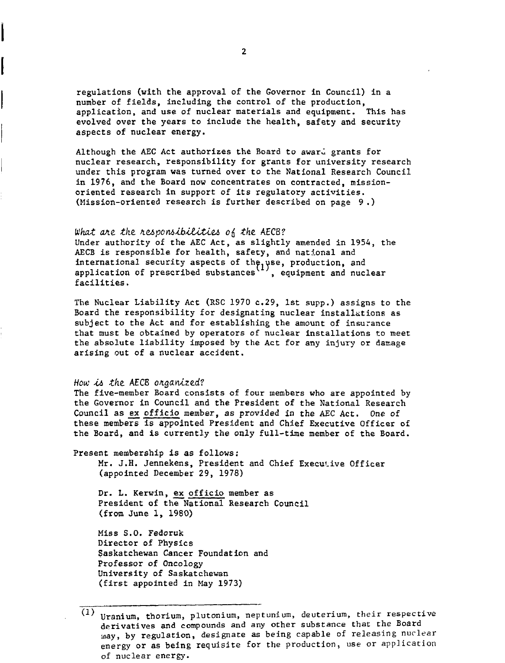regulations (with the approval of the Governor in Council) in a number of fields, including the control of the production, application, and use of nuclear materials and equipment. This has evolved over the years to include the health, safety and security aspects of nuclear energy.

Although the AEC Act authorizes the Board to award grants for nuclear research, responsibility for grants for university research under this program was turned over to the National Research Council in 1976, and the Board now concentrates on contracted, missionoriented research in support of its regulatory activities. (Mission-oriented research is further described on page 9.)

#### What are the responsibilities of the AECB?

Under authority of the AEC Act, as slightly amended in 1954, the AECB is responsible for health, safety, and national and international security aspects of th $e_i$  use, production, and application of prescribed substances`~', equipment and nuclear facilities.

The Nuclear Liability Act (RSC 1970 c.29, 1st supp.) assigns to the Board the responsibility for designating nuclear installations as subject to the Act and for establishing the amount of insurance that must be obtained by operators of nuclear installations to meet the absolute liability imposed by the Act for any injury or damage arising out of a nuclear accident.

### How is the AECB organized?

The five-member Board consists of four members who are appointed by the Governor in Council and the President of the National Research Council as ex officio member, as provided in the AEC Act. One of these members is appointed President and Chief Executive Officer of the Board, and is currently the only full-time member of the Board.

Present membership is as follows: Mr. J.H. Jennekens, President and Chief Executive Officer (appointed December 29, 1978)

Dr. L. Kerwin, ex officio member as President of the National Research Council (from June 1, 1980)

Miss S.O. Fedoruk Director of Physics Saskatchewan Cancer Foundation and Professor of Oncology University of Saskatchewan (first appointed in May 1973)

Uranium, thorium, plutonium, neptunium, deuterium, their respective derivatives and compounds and any other substance that the Board may, by regulation, designate as being capable of releasing nuclear energy or as being requisite for the production, use or application of nuclear energy.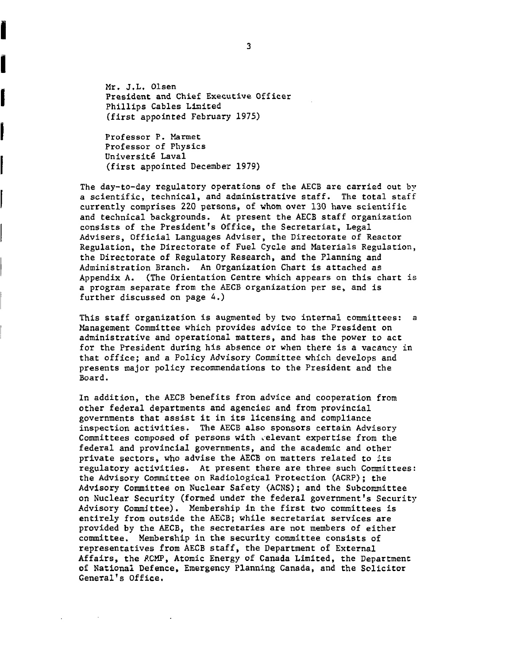Mr. J.L. Olsen President and Chief Executive Officer Phillips Cables Limited (first appointed February 1975)

Professor P. Marmet Professor of Physics Université Laval (first appointed December 1979)

Ï

 $\overline{a}$ 

Í

The day-to-day regulatory operations of the AECB are carried out by a scientific, technical, and administrative staff. The total staff currently comprises 220 persons, of whom over 130 have scientific and technical backgrounds. At present the AECB staff organization consists of the President's Office, the Secretariat, Legal Advisers, Official Languages Adviser, the Directorate of Reactor Regulation, the Directorate of Fuel Cycle and Materials Regulation, the Directorate of Regulatory Research, and the Planning and Administration Branch. An Organization Chart is attached as Appendix A. (The Orientation Centre which appears on this chart is a program separate from the AECB organization per se, and is further discussed on page 4.)

This staff organization is augmented by two internal committees: a Management Committee which provides advice to the President on administrative and operational matters, and has the power to act for the President during his absence or when there is a vacancy in that office; and a Policy Advisory Committee which develops and presents major policy recommendations to the President and the Board.

In addition, the AECB benefits from advice and cooperation from other federal departments and agencies and from provincial governments that assist it in its licensing and compliance inspection activities. The AECB also sponsors certain Advisory Committees composed of persons with relevant expertise from the federal and provincial governments, and the academic and other private sectors, who advise the AECB on matters related to its regulatory activities. At present there are three such Committees: the Advisory Committee on Radiological Protection (ACRP); the Advisory Committee on Nuclear Safety (ACNS); and the Subcommittee on Nuclear Security (formed under the federal government's Security Advisory Committee). Membership in the first two committees is entirely from outside the AECB; while secretariat services are provided by the AECB, the secretaries are not members of either committee. Membership in the security committee consists of representatives from AECB staff, the Department of External Affairs, the ACMP, Atomic Energy of Canada Limited, the Department of National Defence, Emergency Planning Canada, and the Solicitor General's Office.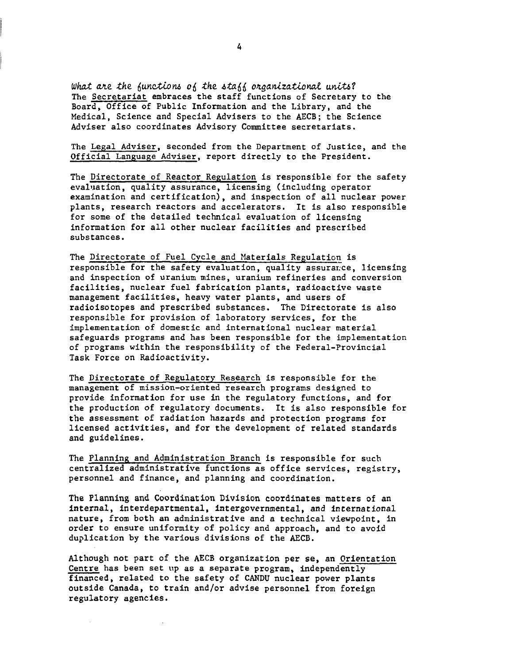What are the functions of the staff organizational units? The Secretariat embraces the staff functions of Secretary to the Board, Office of Public Information and the Library, and the Medical, Science and Special Advisers to the AECB; the Science Adviser also coordinates Advisory Committee secretariats.

The Legal Adviser, seconded from the Department of Justice, and the Official Language Adviser, report directly to the President.

The Directorate of Reactor Regulation is responsible for the safety evaluation, quality assurance, licensing (including operator examination and certification), and inspection of all nuclear power plants, research reactors and accelerators. It is also responsible for some of the detailed technical evaluation of licensing information for all other nuclear facilities and prescribed substances.

The Directorate of Fuel Cycle and Materials Regulation is responsible for the safety evaluation, quality assurance, licensing and inspection of uranium mines, uranium refineries and conversion facilities, nuclear fuel fabrication plants, radioactive waste management facilities, heavy water plants, and users of radioisotopes and prescribed substances. The Directorate is also responsible for provision of laboratory services, for the implementation of domestic and international nuclear material safeguards programs and has been responsible for the implementation of programs within the responsibility of the Federal-Provincial Task Force on Radioactivity.

The Directorate of Regulatory Research is responsible for the management of mission-oriented research programs designed to provide information for use in the regulatory functions, and for the production of regulatory documents. It is also responsible for the assessment of radiation hazards and protection programs for licensed activities, and for the development of related standards and guidelines.

The Planning and Administration Branch is responsible for such centralized administrative functions as office services, registry, personnel and finance, and planning and coordination.

The Planning and Coordination Division coordinates matters of an internal, interdepartmental, intergovernmental, and international nature, from both an administrative and a technical viewpoint, in order to ensure uniformity of policy and approach, and to avoid duplication by the various divisions of the AECB.

Although not part of the AECB organization per se, an Orientation Centre has been set up as a separate program, independently financed, related to the safety of CANDU nuclear power plants outside Canada, to train and/or advise personnel from foreign regulatory agencies.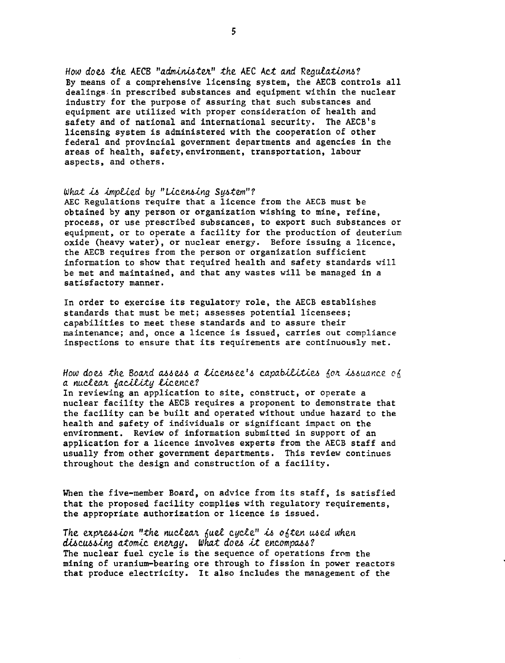How does the AECB "administer" the AEC Act and Regulations? By means of a comprehensive licensing system, the AECB controls all dealings-in prescribed substances and equipment within the nuclear industry for the purpose of assuring that such substances and equipment are utilized with proper consideration of health and safety and of national and international security. The AECB's licensing system is administered with the cooperation of other federal and provincial government departments and agencies in the areas of health, safety,environment, transportation, labour aspects, and others.

## What is implied by "Licensing System"?

AEC Regulations require that a licence from the AECB must be obtained by any person or organization wishing to mine, refine, process, or use prescribed substances, to export such substances or equipment, or to operate a facility for the production of deuterium oxide (heavy water), or nuclear energy. Before issuing a licence, the AECB requires from the person or organization sufficient information to show that required health and safety standards will be met and maintained, and that any wastes will be managed in a satisfactory manner.

In order to exercise its regulatory role, the AECB establishes standards that must be met; assesses potential licensees; capabilities to meet these standards and to assure their maintenance; and, once a licence is issued, carries out compliance inspections to ensure that its requirements are continuously met.

## How does the Board assess a licensee's capabilities for issuance of a nuclear facility licence?

In reviewing an application to site, construct, or operate a nuclear facility the AECB requires a proponent to demonstrate that the facility can be built and operated without undue hazard to the health and safety of individuals or significant impact on the environment. Review of information submitted in support of an application for a licence involves experts from the AECB staff and usually from other government departments. This review continues throughout the design and construction of a facility.

When the five-member Board, on advice from its staff, is satisfied that the proposed facility complies with regulatory requirements, the appropriate authorization or licence is issued.

The expression "the nuclear fuel cycle" is often used when discussing atomic energy. What does it encompass? The nuclear fuel cycle is the sequence of operations from the mining of uranium-bearing ore through to fission in power reactors that produce electricity. It also includes the management of the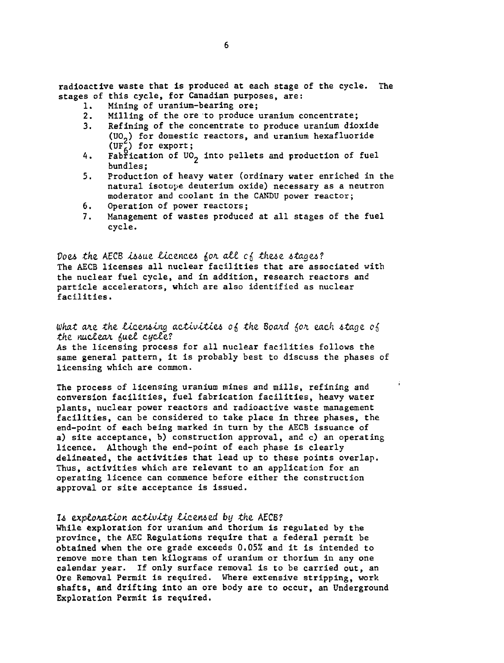radioactive waste that is produced at each stage of the cycle. The stages of this cycle, for Canadian purposes, are:

- 1. Mining of uranium-bearing ore;<br>2. Milling of the ore to produce
- 2. Milling of the ore to produce uranium concentrate;<br>3. Refining of the concentrate to produce uranium dio
- Refining of the concentrate to produce uranium dioxide (UO.) for domestic reactors, and uranium hexafluoride (UF $_{6}^{2}$ ) for export;
- 4. Fabřication of UO<sub>2</sub> into pellets and production of fuel bundles;
- 5. Production of heavy water (ordinary water enriched in the natural isotope deuterium oxide) necessary as a neutron moderator and coolant in the CANDU power reactor;
- 6. Operation of power reactors;
- 7. Management of wastes produced at all stages of the fuel cycle.

Does the AECB issue licences for all cf these stages? The AECB licenses all nuclear facilities that are associated with the nuclear fuel cycle, and in addition, research reactors and particle accelerators, which are also identified as nuclear facilities.

What are the licensing activities of the Board for each stage of the nuclear fuel cycle? As the licensing process for all nuclear facilities follows the same general pattern, it is probably best to discuss the phases of licensing which are common.

The process of licensing uranium mines and mills, refining and conversion facilities, fuel fabrication facilities, heavy water plants, nuclear power reactors and radioactive waste management facilities, can be considered to take place in three phases, the end-point of each being marked in turn by the AECB issuance of a) site acceptance, b) construction approval, and c) an operating licence. Although the end-point of each phase is clearly delineated, the activities that lead up to these points overlap. Thus, activities which are relevant to an application for an operating licence can commence before either the construction approval or site acceptance is issued.

### Is exploration activity licensed by the AECB?

While exploration for uranium and thorium is regulated by the province, the AEC Regulations require that a federal permit be obtained when the ore grade exceeds 0.05% and it is intended to remove more than ten kilograms of uranium or thorium in any one calendar year. If only surface removal is to be carried out, an Ore Removal Permit is required. Where extensive stripping, work shafts, and drifting into an ore body are to occur, an Underground Exploration Permit is required.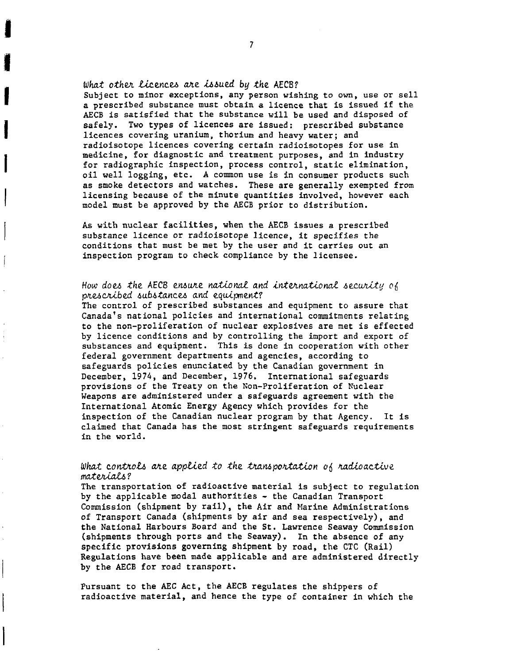What other licences are issued by the AECB? Subject to minor exceptions, any person wishing to own, use or sell a prescribed substance must obtain a licence that is issued if the AECB is satisfied that the substance will be used and disposed of safely. Two types of licences are issued: prescribed substance licences covering uranium, thorium and heavy water; and radioisotope licences covering certain radioisotopes for use in medicine, for diagnostic and treatment purposes, and in industry for radiographic inspection, process control, static elimination, oil well logging, etc. A common use is in consumer products such as smoke detectors and watches. These are generally exempted from licensing because of the minute quantities involved, however each model must be approved by the AECB prior to distribution.

As with nuclear facilities, when the AECB issues a prescribed substance licence or radioisotope licence, it specifies the conditions that must be met by the user and it carries out an inspection program to check compliance by the licensee.

# How does the AECB ensure national and international security of prescribed substances and equipment?

The control of prescribed substances and equipment to assure that Canada's national policies and international commitments relating to the non-proliferation of nuclear explosives are met is effected by licence conditions and by controlling the import and export of substances and equipment. This is done in cooperation with other federal government departments and agencies, according to safeguards policies enunciated by the Canadian government in December, 197A, and December, 1976. International safeguards provisions of the Treaty on the Non-Proliferation of Nuclear Weapons are administered under a safeguards agreement with the International Atomic Energy Agency which provides for the inspection of the Canadian nuclear program by that Agency. It is claimed that Canada has the most stringent safeguards requirements in the world.

# What controls are applied to the transportation of radioactive materials?

The transportation of radioactive material is subject to regulation by the applicable modal authorities - the Canadian Transport Commission (shipment by rail), the Air and Marine Administrations of Transport Canada (shipments by air and sea respectively), and the National Harbours Board and the St. Lawrence Seaway Commission (shipments through ports and the Seaway). In the absence of any specific provisions governing shipment by road, the CTC (Rail) Regulations have been made applicable and are administered directly by the AECB for road transport.

Pursuant to the AEC Act, the AECB regulates the shippers of radioactive material, and hence the type of container in which the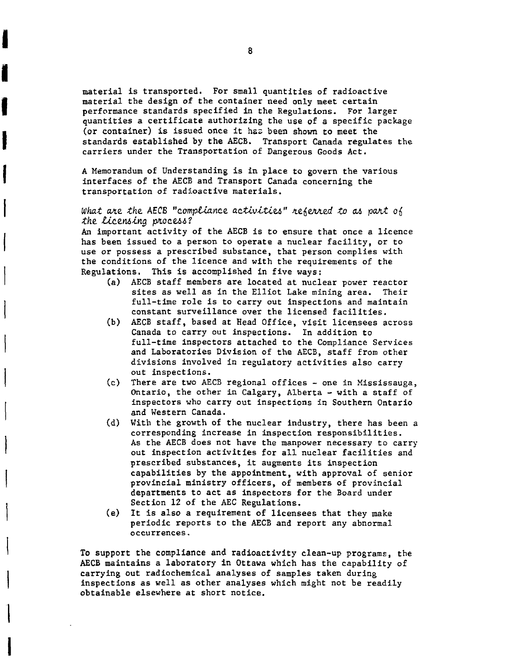material is transported. For small quantities of radioactive material the design of the container need only meet certain performance standards specified in the Regulations. For larger quantities a certificate authorizing the use of a specific package (or container) is issued once it has been shown to meet the standards established by the AECB. Transport Canada regulates the carriers under the Transportation of Dangerous Goods Act.

A Memorandum of Understanding is in place to govern the various interfaces of the AECB and Transport Canada concerning the transportation of radioactive materials.

## What are the AECB "compliance activities" referred to as part of the licensing process?

An important activity of the AECB is to ensure that once a licence has been issued to a person to operate a nuclear facility, or to use or possess a prescribed substance, that person complies with the conditions of the licence and with the requirements of the Regulations. This is accomplished in five ways:

- (a) AECB staff members are located at nuclear power reactor sites as well as in the Elliot Lake mining area. Their full-time role is to carry out inspections and maintain constant surveillance over the licensed facilities.
- (b) AECB staff, based at Head Office, visit licensees across Canada to carry out inspections. In addition to full-time inspectors attached to the Compliance Services and Laboratories Division of the AECB, staff from other divisions involved in regulatory activities also carry out inspections.
- (c) There are two AECB regional offices one in Mississauga, Ontario, the other in Calgary, Alberta - with a staff of inspectors who carry out inspections in Southern Ontario and Western Canada.
- (d) With the growth of the nuclear industry, there has been a corresponding increase in inspection responsibilities. As the AECB does not have the manpower necessary to carry out inspection activities for all nuclear facilities and prescribed substances, it augments its inspection capabilities by the appointment, with approval of senior provincial ministry officers, of members of provincial departments to act as inspectors for the Board under Section 12 of the AEC Regulations.
- (e) It is also a requirement of licensees that they make periodic reports to the AECB and report any abnormal occurrences.

To support the compliance and radioactivity clean-up programs, the AECB maintains a laboratory in Ottawa which has the capability of carrying out radiochemical analyses of samples taken during inspections as well as other analyses which might not be readily obtainable elsewhere at short notice.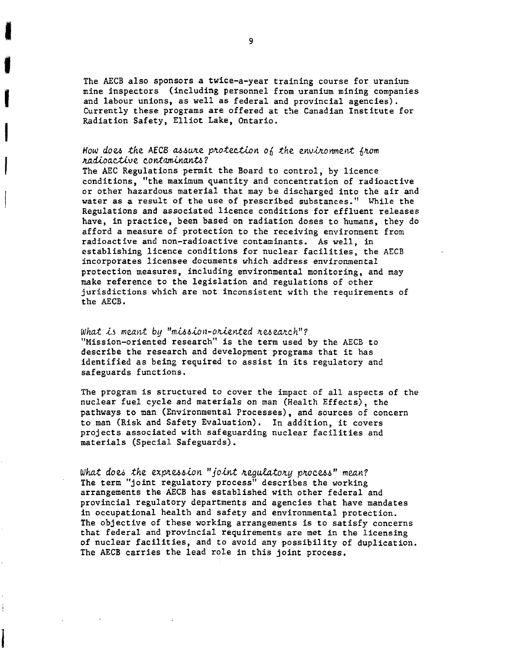The AECB also sponsors a twice-a-year training course for uranium mine inspectors (including personnel from uranium mining companies and labour unions, as well as federal and provincial agencies). Currently these programs are offered at the Canadian Institute for Radiation Safety, Elliot Lake, Ontario.

### How does the AECB assure protection of the environment from nadioactive contaminants?

The AEC Regulations permit the Board to control, by licence conditions, "the maximum quantity and concentration of radioactive or other hazardous material that may be discharged into the air and water as a result of the use of prescribed substances." While the Regulations and associated licence conditions for effluent releases have, in practice, been based on radiation doses to humans, they do afford a measure of protection to the receiving environment from radioactive and non-radioactive contaminants. As well, in establishing licence conditions for nuclear facilities, the AECB incorporates licensee documents which address environmental protection measures, including environmental monitoring, and may make reference to the legislation and regulations of other jurisdictions which are not inconsistent with the requirements of the AECB.

What is meant by "mission-oriented research"? "Mission-oriented research" is the term used by the AECB to describe the research and development programs that it has identified as being required to assist in its regulatory and safeguards functions.

The program is structured to cover the impact of all aspects of the nuclear fuel cycle and materials on man (Health Effects), the pathways to man (Environmental Processes), and sources of concern to man (Risk and Safety Evaluation). In addition, it covers projects associated with safeguarding nuclear facilities and materials (Special Safeguards).

What does the expression "joint regulatory process" mean? The term "joint regulatory process" describes the working arrangements the AECB has established with other federal and provincial regulatory departments and agencies that have mandates in occupational health and safety and environmental protection. The objective of these working arrangements is to satisfy concerns that federal and provincial requirements are met in the licensing of nuclear facilities, and to avoid any possibility of duplication. The AECB carries the lead role in this joint process.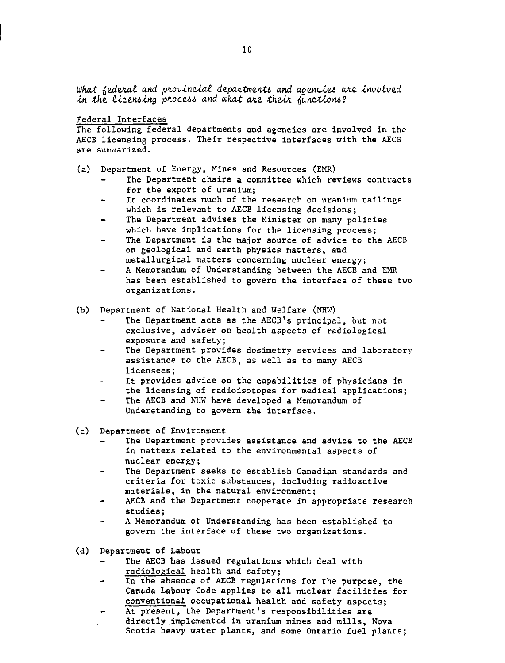What federal and provincial departments and agencies are involved in the licensing process and what are their functions?

### Federal Interfaces

The following federal departments and agencies are involved in the AECB licensing process. Their respective interfaces with the AECB are summarized.

- (a) Department of Energy, Mines and Resources (EMR)
	- The Department chairs a committee which reviews contracts for the export of uranium;
	- It coordinates much of the research on uranium tailings which is relevant to AECB licensing decisions;
	- The Department advises the Minister on many policies which have implications for the licensing process;
	- The Department is the major source of advice to the AECB on geological and earth physics matters, and metallurgical matters concerning nuclear energy;
	- A Memorandum of Understanding between the AECB and EMR has been established to govern the interface of these two organizations.
- (b) Department of National Health and Welfare (NHW)
	- The Department acts as the AECB's principal, but not exclusive, adviser on health aspects of radiological exposure and safety;
	- The Department provides dosimetry services and laboratory assistance to the AECB, as well as to many AECB licensees;
	- It provides advice on the capabilities of physicians in the licensing of radioisotopes for medical applications;
	- The AECB and NHW have developed a Memorandum of Understanding to govern the interface.
- (c) Department of Environment
	- The Department provides assistance and advice to the AECB in matters related to the environmental aspects of nuclear energy;
	- The Department seeks to establish Canadian standards and criteria for toxic substances, including radioactive materials, in the natural environment;
	- AECB and the Department cooperate in appropriate research studies;
	- A Memorandum of Understanding has been established to govern the interface of these two organizations.
- (d) Department of Labour
	- The AECB has issued regulations which deal with radiological health and safety;
	- In the absence of AECB regulations for the purpose, the Canada Labour Code applies to all nuclear facilities for conventional occupational health and safety aspects;
	- At present, the Department's responsibilities are  $\overline{\phantom{a}}$ directly implemented in uranium mines and mills, Nova Scotia heavy water plants, and some Ontario fuel plants;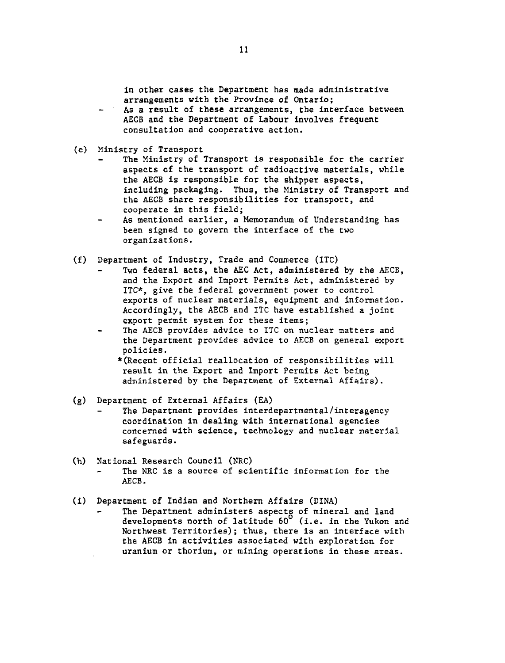in other cases the Department has made administrative arrangements with the Province of Ontario;

- As a result of these arrangements, the interface between AECB and the Department of Labour involves frequent consultation and cooperative action.
- (e) Ministry of Transport
	- The Ministry of Transport is responsible for the carrier aspects of the transport of radioactive materials, while the AECB is responsible for the shipper aspects, including packaging. Thus, the Ministry of Transport and the AECB share responsibilities for transport, and cooperate in this field;
	- As mentioned earlier, a Memorandum of Understanding has been signed to govern the interface of the two organizations.
- (f) Department of Industry, Trade and Commerce (ITC)
	- Two federal acts, the AEC Act, administered by the AECB, and the Export and Import Permits Act, administered by ITC\*, give the federal government power to control exports of nuclear materials, equipment and information. Accordingly, the AECB and ITC have established a joint export permit system for these items;
	- The AECB provides advice to ITC on nuclear matters and the Department provides advice to AECB on general export policies.

\*(Recent official reallocation of responsibilities will result in the Export and Import Permits Act being administered by the Department of External Affairs).

- (g) Department of External Affairs (EA)
	- The Department provides interdepartmental/interagency coordination in dealing with international agencies concerned with science, technology and nuclear material safeguards.
- (h) National Research Council (NRC) The NRC is a source of scientific information for the AECB.
- (i) Department of Indian and Northern Affairs (DINA)
	- The Department administers aspects of mineral and land developments north of latitude 60° (i.e. in the Yukon and Northwest Territories); thus, there is an interface with the AECB in activities associated with exploration for uranium or thorium, or mining operations in these areas.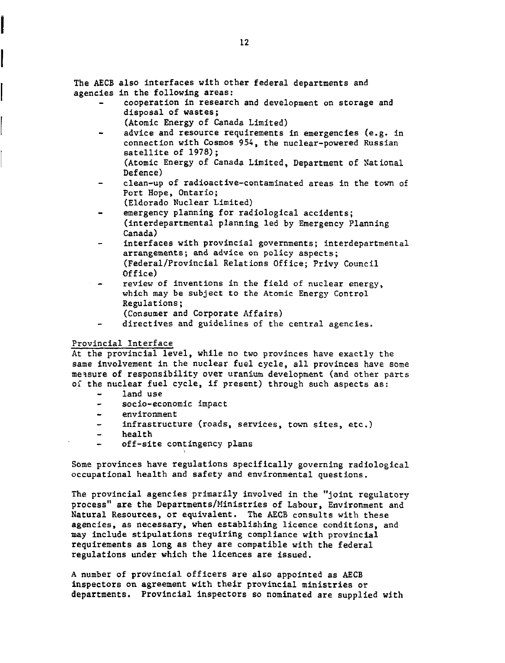The AECB also interfaces with other federal departments and agencies in the following areas:

- cooperation in research and development on storage and disposal of wastes;
	- (Atomic Energy of Canada Limited)
- advice and resource requirements in emergencies (e.g. in connection with Cosmos 954, the nuclear-powered Russian satellite of 1978); (Atomic Energy of Canada Limited, Department of National Defence)
- clean-up of radioactive-contaminated areas in the town of Port Hope, Ontario;
	- (Eldorado Nuclear Limited)
- emergency planning for radiological accidents; (interdepartmental planning led by Emergency Planning Canada)
- interfaces with provincial governments; interdepartmental arrangements; and advice on policy aspects; (Federal/Provincial Relations Office; Privy Council Office)
- review of inventions in the field of nuclear energy, which may be subject to the Atomic Energy Control Regulations;
	- (Consumer and Corporate Affairs)
- directives and guidelines of the central agencies.

# Provincial Interface

At the provincial level, while no two provinces have exactly the same involvement in the nuclear fuel cycle, all provinces have some measure of responsibility over uranium development (and other parts of the nuclear fuel cycle, if present) through such aspects as:

- land use
- socio-economic impact
- environment
- infrastructure (roads, services, town sites, etc.)
- health
- off-site contingency plans

Some provinces have regulations specifically governing radiological occupational health and safety and environmental questions.

The provincial agencies primarily involved in the "joint regulatory process" are the Departments/Ministries of Labour, Environment and Natural Resources, or equivalent. The AECB consults with these agencies, as necessary, when establishing licence conditions, and may include stipulations requiring compliance with provincial requirements as long as they are compatible with the federal regulations under which the licences are issued.

A number of provincial officers are also appointed as AECB inspectors on agreement with their provincial ministries or departments. Provincial inspectors so nominated are supplied with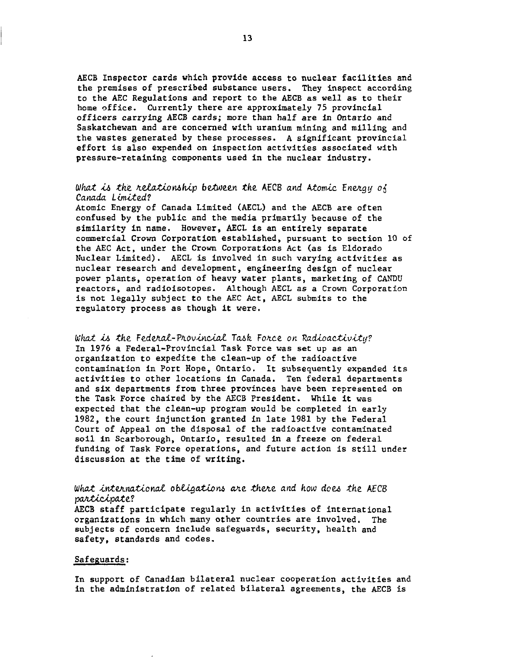AECB Inspector cards which provide access to nuclear facilities and the premises of prescribed substance users. They inspect according to the AEC Regulations and report to the AECB as well as to their home office. Currently there are approximately 75 provincial officers carrying AECB cards; more than half are in Ontario and Saskatchewan and are concerned with uranium mining and milling and the wastes generated by these processes. A significant provincial effort is also expended on inspection activities associated with pressure-retaining components used in the nuclear industry.

# What is the relationship between the AECB and Atomic Energy of Canada Limitod?

Atomic Energy of Canada Limited (AECL) and the AECB are often confused by the public and the media primarily because of the similarity in name. However, AECL is an entirely separate commercial Crown Corporation established, pursuant to section 10 of the AEC Act, under the Crown Corporations Act (as is Eldorado Nuclear Limited). AECL is involved in such varying activities as nuclear research and development, engineering design of nuclear power plants, operation of heavy water plants, marketing of CANDU reactors, and radioisotopes. Although AECL as a Crown Corporation is not legally subject to the AEC Act, AECL submits to the regulatory process as though it were.

What is the Federal-Provincial Task Force on Radioactivity? In 1976 a Federal-Provincial Task Force was set up as an organization to expedite the clean-up of the radioactive contamination in Port Hope, Ontario. It subsequently expanded its activities to other locations in Canada. Ten federal departments and six departments from three provinces have been represented on the Task Force chaired by the AECB President. While it was expected that the clean-up program would be completed in early 1982, the court injunction granted in late 1981 by the Federal Court of Appeal on the disposal of the radioactive contaminated soil in Scarborough, Ontario, resulted in a freeze on federal funding of Task Force operations, and future action is still under discussion at the time of writing.

## What international obligations are there and how does the AECB participate?

AECB staff participate regularly in activities of international organizations in which many other countries are involved. The subjects of concern include safeguards, security, health and safety, standards and codes.

### Safeguards:

In support of Canadian bilateral nuclear cooperation activities and in the administration of related bilateral agreements, the AECB is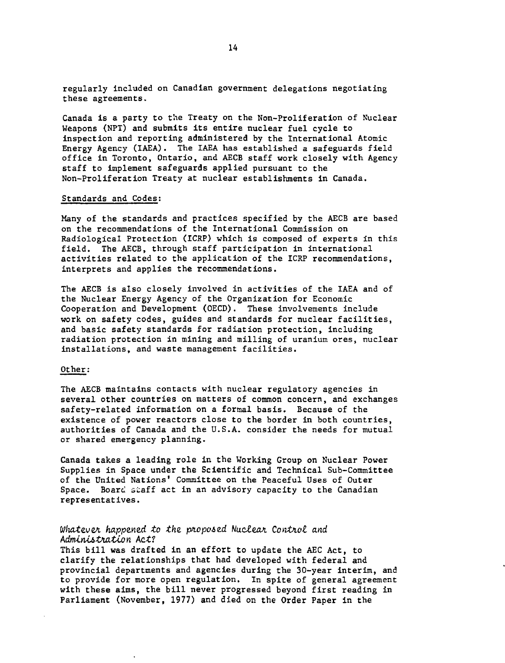regularly included on Canadian government delegations negotiating these agreements.

Canada is a party to the Treaty on the Non-Proliferation of Nuclear Weapons (NPT) and submits its entire nuclear fuel cycle to inspection and reporting administered by the International Atomic Energy Agency (IAEA). The IAEA has established a safeguards field office in Toronto, Ontario, and AECB staff work closely with Agency staff to implement safeguards applied pursuant to the Non-Proliferation Treaty at nuclear establishments in Canada.

#### Standards and Codes:

Many of the standards and practices specified by the AECB are based on the recommendations of the International Commission on Radiological Protection (ICRP) which is composed of experts in this field. The AECB, through staff participation in international activities related to the application of the ICRP recommendations, interprets and applies the recommendations.

The AECB is also closely involved in activities of the IAEA and of the Nuclear Energy Agency of the Organization for Economic Cooperation and Development (OECD). These involvements include work on safety codes, guides and standards for nuclear facilities, and basic safety standards for radiation protection, including radiation protection in mining and milling of uranium ores, nuclear installations, and waste management facilities.

## Other:

The AECB maintains contacts with nuclear regulatory agencies in several other countries on matters of common concern, and exchanges safety-related information on a formal basis. Because of the existence of power reactors close to the border in both countries, authorities of Canada and the U.S.A. consider the needs for mutual or shared emergency planning.

Canada takes a leading role in the Working Group on Nuclear Power Supplies in Space under the Scientific and Technical Sub-Committee of the United Nations' Committee on the Peaceful Uses of Outer Space. Board staff act in an advisory capacity to the Canadian representatives.

## Whatever happened to the proposed Nuclear Control and Administration Act?

This bill was drafted in an effort to update the AEC Act, to clarify the relationships that had developed with federal and provincial departments and agencies during the 30-year interim, and to provide for more open regulation. In spite of general agreement with these aims, the bill never progressed beyond first reading in Parliament (November, 1977) and died on the Order Paper in the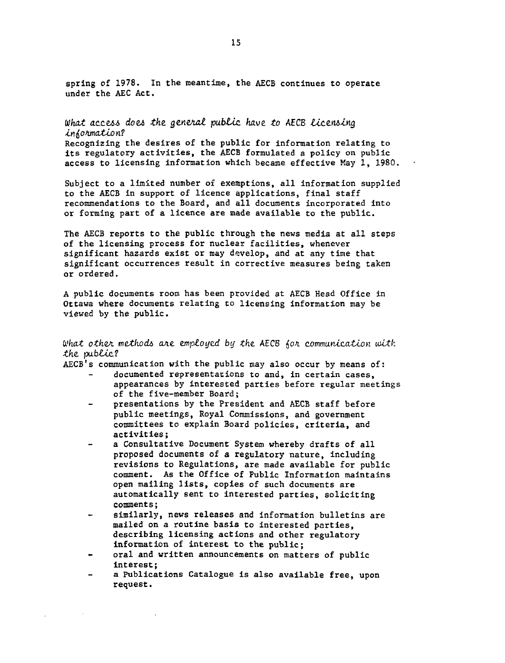spring of 1978. In the meantime, the AECB continues to operate under the AEC Act.

# What access does the general public have to AECB licensing information? Recognizing the desires of the public for information relating to

its regulatory activities, the AECB formulated a policy on public access to licensing information which became effective May 1, 1980.

Subject to a limited number of exemptions, all information supplied to the AECB in support of licence applications, final staff recommendations to the Board, and all documents incorporated into or forming part of a licence are made available to the public.

The AECB reports to the public through the news media at all steps of the licensing process for nuclear facilities, whenever significant hazards exist or may develop, and at any time that significant occurrences result in corrective measures being taken or ordered.

A public documents room has been provided at AECB Head Office in Ottawa where documents relating to licensing information may be viewed by the public.

## What other methods are employed by the AECB for communication with the public?

AECB's communication with the public may also occur by means of:

- documented representations to and, in certain cases, appearances by interested parties before regular meetings of the five-member Board;
- presentations by the President and AECB staff before public meetings, Royal Commissions, and government committees to explain Board policies, criteria, and activities;
- a Consultative Document System whereby drafts of all proposed documents of a regulatory nature, including revisions to Regulations, are made available for public comment. As the Office of Public Information maintains open mailing lists, copies of such documents are automatically sent to interested parties, soliciting comments;
- similarly, news releases and information bulletins are mailed on a routine basis to interested parties, describing licensing actions and other regulatory information of interest to the public;
- oral and written announcements on matters of public interest;
- a Publications Catalogue is also available free, upon request.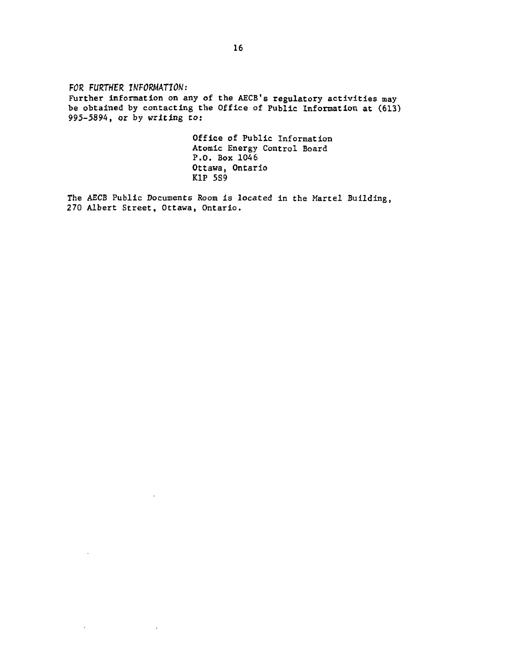FOR FURTHER INFORMATION: Further information on any of the AECB's regulatory activities may be obtained by contacting the Office of Public Information at (613) 995-5894, or by writing to:

> Office of Public Information Atomic Energy Control Board P.O. Box 1046 Ottawa, Ontario KIP 5S9

The AECB Public Documents Room is located in the Martel Building, 270 Albert Street, Ottawa, Ontario.

 $\mathbb{Z}$ 

 $\sim$   $\alpha$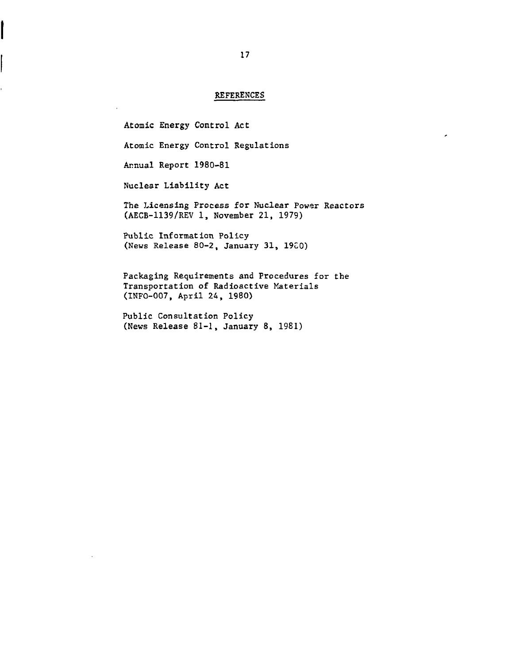### REFERENCES

Atomic Energy Control Act Atomic Energy Control Regulations Annual Report 1980-81 Nuclear Liability Act The Licensing Process for Nuclear Power Reactors (AECB-1139/REV 1, November 21, 1979) Public Information Policy (News Release 80-2, January 31, 19G0) Packaging Requirements and Procedures for the Transportation of Radioactive Materials (INFO-007, April 24, 1980)

Public Consultation Policy (News Release 81-1, January 8, 1981)